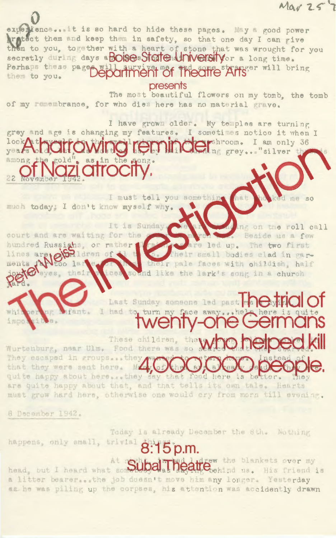experience... It is so hard to hide these pages. May a good power ratect them and keep them in safety, so that one day I can give them to you, together with a heart of stone that was wrought for you secretly during days a BOISes State University or a long time. Perhaps these page will auryive most theorie Affser will bring them to you. presents

The most beautiful flowers on my tomb, the tomb of my remembrance, for who dies here has no material grave.

I have grown older. My temples are turning grey and age is changing my features. I sometimes notice it when I ndershroom. I am only 36

I must tell you somethin much today: I don't know myself why.

> It is Sunday ng on the roll call Beside us a few are led up. The two first Their small bodies clad in gartheir pale faces with childish, half loes sound like the lark's song in a church

Last Sunday someone led past **Detrice of** I had to, turn my face away

These children, Wurtenburg, near Ulm. Food there was so They escaped in groups...they that they were sent here. MAY quite happy about here ... they say that food here is be tter. are quite happy about that, and that tells its own tale. Hearts must grow hard here, otherwise one would cry from morn till evening.

8 December 1942.

court and are waiting for the hundred Russiahs, or rather

lines are 10 Shldren of 1

eyes, their

Today is already December the 8th. Nothing happens, only small, trivial  $D.m.$ eattlew the blankets over my head, but I heard what so SUL a litter bearer...the job deesn't move him any longer. Yesterday

as he was piling up the corpses, his attention was accidently drawn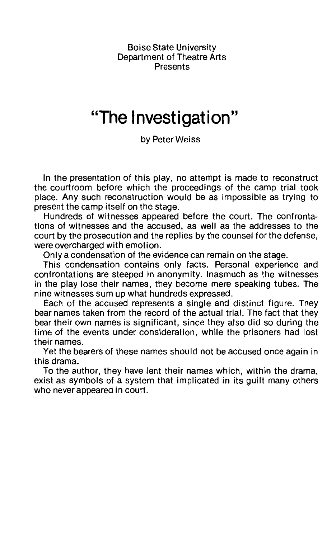Boise State University Department of Theatre Arts **Presents** 

### **"The Investigation"**

by Peter Weiss

In the presentation of this play, no attempt is made to reconstruct the courtroom before which the proceedings of the camp trial took place. Any such reconstruction would be as impossible as trying to present the camp itself on the stage.

Hundreds of witnesses appeared before the court. The confrontations of witnesses and the accused, as well as the addresses to the court by the prosecution and the replies by the counsel for the defense, were overcharged with emotion.

Only a condensation of the evidence can remain on the stage.

This condensation contains only facts. Personal experience and confrontations are steeped in anonymity. Inasmuch as the witnesses in the play lose their names, they become mere speaking tubes. The nine witnesses sum up what hundreds expressed.

Each of the accused represents a single and distinct figure. They bear names taken from the record of the actual trial. The fact that they bear their own names is significant, since they also did so during the time of the events under consideration, while the prisoners had lost their names.

Yet the bearers of these names should not be accused once again in this drama.

To the author, they have lent their names which, within the drama, exist as symbols of a system that implicated in its guilt many others who never appeared in court.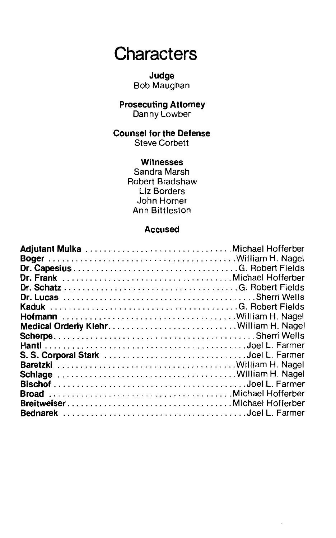## **Characters**

#### **Judge**  Bob Maughan

#### **Prosecuting Attorney**  Danny Lowber

### **Counsel for the Defense**

Steve Corbett

#### **Witnesses**

Sandra Marsh Robert Bradshaw Liz Borders John Horner Ann Bittleston

#### **Accused**

| Dr. Frank Michael Hofferber  |  |
|------------------------------|--|
|                              |  |
|                              |  |
|                              |  |
|                              |  |
|                              |  |
|                              |  |
|                              |  |
|                              |  |
|                              |  |
|                              |  |
|                              |  |
|                              |  |
| BreitweiserMichael Hofferber |  |
|                              |  |